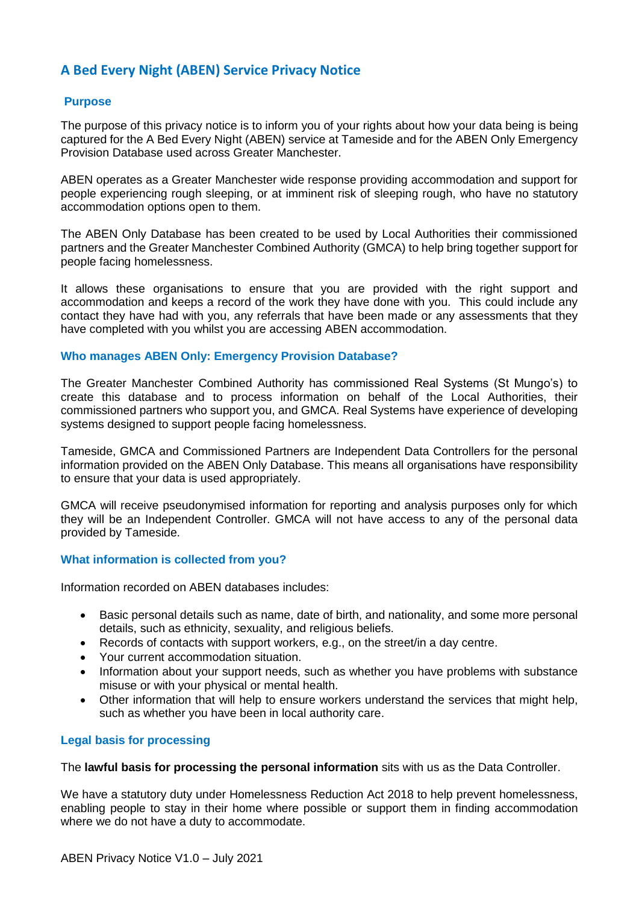# **A Bed Every Night (ABEN) Service Privacy Notice**

# **Purpose**

The purpose of this privacy notice is to inform you of your rights about how your data being is being captured for the A Bed Every Night (ABEN) service at Tameside and for the ABEN Only Emergency Provision Database used across Greater Manchester.

ABEN operates as a Greater Manchester wide response providing accommodation and support for people experiencing rough sleeping, or at imminent risk of sleeping rough, who have no statutory accommodation options open to them.

The ABEN Only Database has been created to be used by Local Authorities their commissioned partners and the Greater Manchester Combined Authority (GMCA) to help bring together support for people facing homelessness.

It allows these organisations to ensure that you are provided with the right support and accommodation and keeps a record of the work they have done with you. This could include any contact they have had with you, any referrals that have been made or any assessments that they have completed with you whilst you are accessing ABEN accommodation.

# **Who manages ABEN Only: Emergency Provision Database?**

The Greater Manchester Combined Authority has commissioned Real Systems (St Mungo's) to create this database and to process information on behalf of the Local Authorities, their commissioned partners who support you, and GMCA. Real Systems have experience of developing systems designed to support people facing homelessness.

Tameside, GMCA and Commissioned Partners are Independent Data Controllers for the personal information provided on the ABEN Only Database. This means all organisations have responsibility to ensure that your data is used appropriately.

GMCA will receive pseudonymised information for reporting and analysis purposes only for which they will be an Independent Controller. GMCA will not have access to any of the personal data provided by Tameside.

## **What information is collected from you?**

Information recorded on ABEN databases includes:

- Basic personal details such as name, date of birth, and nationality, and some more personal details, such as ethnicity, sexuality, and religious beliefs.
- Records of contacts with support workers, e.g., on the street/in a day centre.
- Your current accommodation situation.
- Information about your support needs, such as whether you have problems with substance misuse or with your physical or mental health.
- Other information that will help to ensure workers understand the services that might help, such as whether you have been in local authority care.

## **Legal basis for processing**

## The **lawful basis for processing the personal information** sits with us as the Data Controller.

We have a statutory duty under Homelessness Reduction Act 2018 to help prevent homelessness, enabling people to stay in their home where possible or support them in finding accommodation where we do not have a duty to accommodate.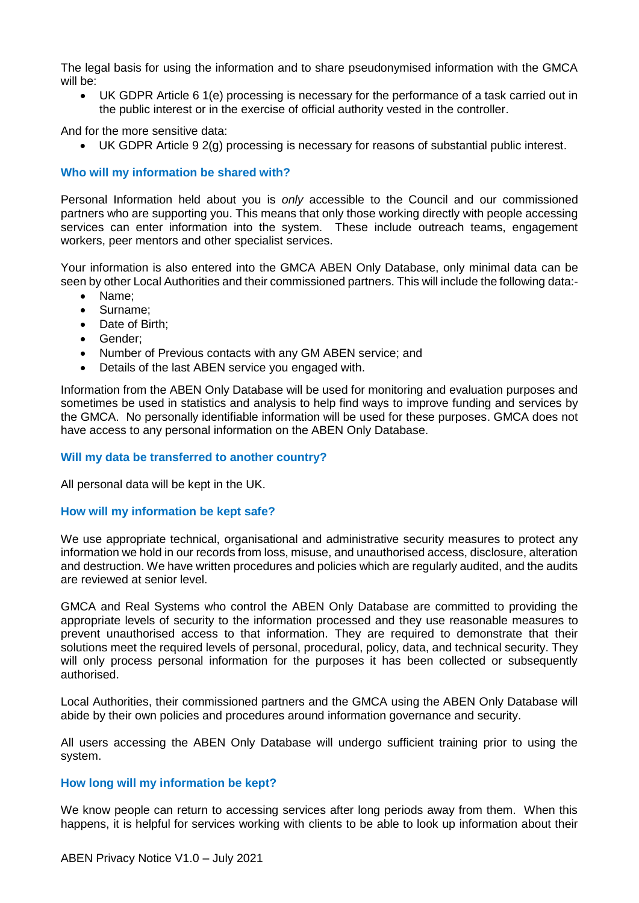The legal basis for using the information and to share pseudonymised information with the GMCA will be:

 UK GDPR Article 6 1(e) processing is necessary for the performance of a task carried out in the public interest or in the exercise of official authority vested in the controller.

And for the more sensitive data:

UK GDPR Article 9 2(g) processing is necessary for reasons of substantial public interest.

# **Who will my information be shared with?**

Personal Information held about you is *only* accessible to the Council and our commissioned partners who are supporting you. This means that only those working directly with people accessing services can enter information into the system. These include outreach teams, engagement workers, peer mentors and other specialist services.

Your information is also entered into the GMCA ABEN Only Database, only minimal data can be seen by other Local Authorities and their commissioned partners. This will include the following data:-

- Name:
- Surname:
- Date of Birth:
- Gender;
- Number of Previous contacts with any GM ABEN service; and
- Details of the last ABEN service you engaged with.

Information from the ABEN Only Database will be used for monitoring and evaluation purposes and sometimes be used in statistics and analysis to help find ways to improve funding and services by the GMCA. No personally identifiable information will be used for these purposes. GMCA does not have access to any personal information on the ABEN Only Database.

## **Will my data be transferred to another country?**

All personal data will be kept in the UK.

## **How will my information be kept safe?**

We use appropriate technical, organisational and administrative security measures to protect any information we hold in our records from loss, misuse, and unauthorised access, disclosure, alteration and destruction. We have written procedures and policies which are regularly audited, and the audits are reviewed at senior level.

GMCA and Real Systems who control the ABEN Only Database are committed to providing the appropriate levels of security to the information processed and they use reasonable measures to prevent unauthorised access to that information. They are required to demonstrate that their solutions meet the required levels of personal, procedural, policy, data, and technical security. They will only process personal information for the purposes it has been collected or subsequently authorised.

Local Authorities, their commissioned partners and the GMCA using the ABEN Only Database will abide by their own policies and procedures around information governance and security.

All users accessing the ABEN Only Database will undergo sufficient training prior to using the system.

## **How long will my information be kept?**

We know people can return to accessing services after long periods away from them. When this happens, it is helpful for services working with clients to be able to look up information about their